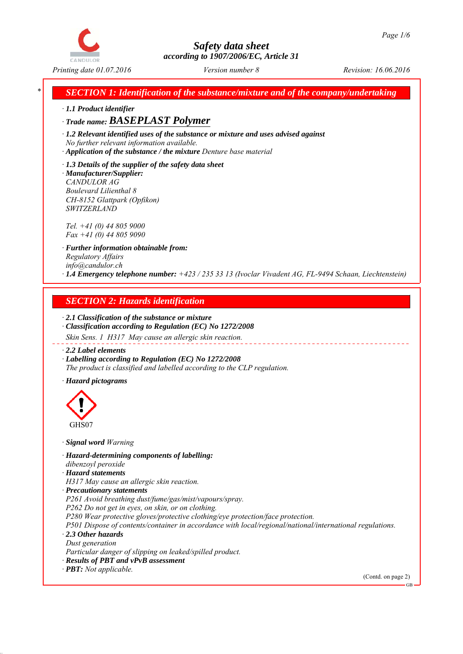

*\* SECTION 1: Identification of the substance/mixture and of the company/undertaking*

*∙ 1.1 Product identifier*

*∙ Trade name: BASEPLAST Polymer*

*∙ 1.2 Relevant identified uses of the substance or mixture and uses advised against No further relevant information available.*

*∙ Application of the substance / the mixture Denture base material*

*∙ 1.3 Details of the supplier of the safety data sheet ∙ Manufacturer/Supplier: CANDULOR AG Boulevard Lilienthal 8 CH-8152 Glattpark (Opfikon) SWITZERLAND*

*Tel. +41 (0) 44 805 9000 Fax +41 (0) 44 805 9090*

*∙ Further information obtainable from: Regulatory Affairs info@candulor.ch ∙ 1.4 Emergency telephone number: +423 / 235 33 13 (Ivoclar Vivadent AG, FL-9494 Schaan, Liechtenstein)*

# *SECTION 2: Hazards identification*

*∙ 2.1 Classification of the substance or mixture ∙ Classification according to Regulation (EC) No 1272/2008*

*Skin Sens. 1 H317 May cause an allergic skin reaction.*

*∙ 2.2 Label elements*

*∙ Labelling according to Regulation (EC) No 1272/2008 The product is classified and labelled according to the CLP regulation.*

*∙ Hazard pictograms*



*∙ Signal word Warning*

*∙ Hazard-determining components of labelling: dibenzoyl peroxide*

*∙ Hazard statements*

*H317 May cause an allergic skin reaction.*

*∙ Precautionary statements*

*P261 Avoid breathing dust/fume/gas/mist/vapours/spray.*

*P262 Do not get in eyes, on skin, or on clothing.*

*P280 Wear protective gloves/protective clothing/eye protection/face protection.*

*P501 Dispose of contents/container in accordance with local/regional/national/international regulations. ∙ 2.3 Other hazards*

*Dust generation*

*Particular danger of slipping on leaked/spilled product.*

*∙ Results of PBT and vPvB assessment*

*∙ PBT: Not applicable.*

(Contd. on page 2)

GB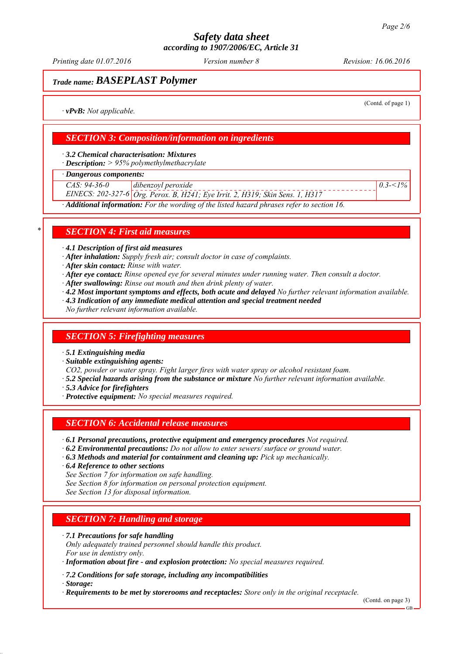*Printing date 01.07.2016 Revision: 16.06.2016 Version number 8*

## *Trade name: BASEPLAST Polymer*

(Contd. of page 1)

*0.3-<1%*

*∙ vPvB: Not applicable.*

## *SECTION 3: Composition/information on ingredients*

*∙ 3.2 Chemical characterisation: Mixtures*

*∙ Description: > 95% polymethylmethacrylate*

*∙ Dangerous components:*

*CAS: 94-36-0 dibenzoyl peroxide*

*EINECS: 202-327-6 Org. Perox. B, H241; Eye Irrit. 2, H319; Skin Sens. 1, H317*

*∙ Additional information: For the wording of the listed hazard phrases refer to section 16.*

## *\* SECTION 4: First aid measures*

*∙ 4.1 Description of first aid measures*

*∙ After inhalation: Supply fresh air; consult doctor in case of complaints.*

*∙ After skin contact: Rinse with water.*

- *∙ After eye contact: Rinse opened eye for several minutes under running water. Then consult a doctor.*
- *∙ After swallowing: Rinse out mouth and then drink plenty of water.*
- *∙ 4.2 Most important symptoms and effects, both acute and delayed No further relevant information available.*
- *∙ 4.3 Indication of any immediate medical attention and special treatment needed*

*No further relevant information available.*

## *SECTION 5: Firefighting measures*

*∙ 5.1 Extinguishing media*

*∙ Suitable extinguishing agents:*

*CO2, powder or water spray. Fight larger fires with water spray or alcohol resistant foam.*

- *∙ 5.2 Special hazards arising from the substance or mixture No further relevant information available.*
- *∙ 5.3 Advice for firefighters*
- *∙ Protective equipment: No special measures required.*

## *SECTION 6: Accidental release measures*

- *∙ 6.1 Personal precautions, protective equipment and emergency procedures Not required.*
- *∙ 6.2 Environmental precautions: Do not allow to enter sewers/ surface or ground water.*
- *∙ 6.3 Methods and material for containment and cleaning up: Pick up mechanically.*
- *∙ 6.4 Reference to other sections*

*See Section 7 for information on safe handling.*

*See Section 8 for information on personal protection equipment.*

*See Section 13 for disposal information.*

## *SECTION 7: Handling and storage*

*∙ 7.1 Precautions for safe handling*

*Only adequately trained personnel should handle this product. For use in dentistry only.*

*∙ Information about fire - and explosion protection: No special measures required.*

*∙ 7.2 Conditions for safe storage, including any incompatibilities*

*∙ Storage:*

*∙ Requirements to be met by storerooms and receptacles: Store only in the original receptacle.*

(Contd. on page 3)

GB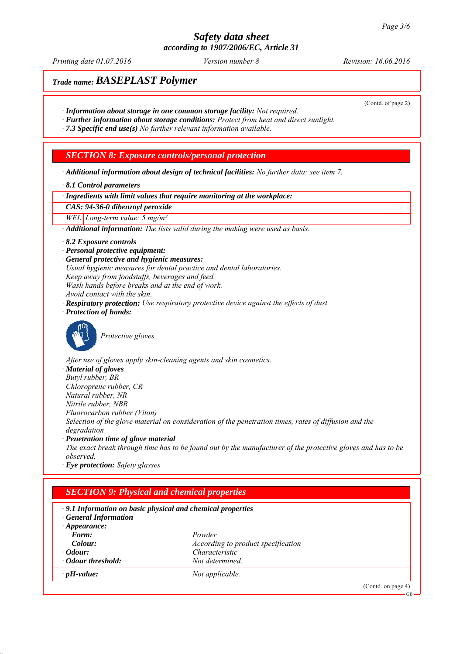*Printing date 01.07.2016 Revision: 16.06.2016 Version number 8*

(Contd. of page 2)

# *Trade name: BASEPLAST Polymer*

- *∙ Information about storage in one common storage facility: Not required.*
- *∙ Further information about storage conditions: Protect from heat and direct sunlight.*

*∙ 7.3 Specific end use(s) No further relevant information available.*

## *SECTION 8: Exposure controls/personal protection*

*∙ Additional information about design of technical facilities: No further data; see item 7.*

#### *∙ 8.1 Control parameters*

*∙ Ingredients with limit values that require monitoring at the workplace:*

*CAS: 94-36-0 dibenzoyl peroxide*

*WEL Long-term value: 5 mg/m³*

*∙ Additional information: The lists valid during the making were used as basis.*

- *∙ 8.2 Exposure controls*
- *∙ Personal protective equipment:*
- *∙ General protective and hygienic measures:*
- *Usual hygienic measures for dental practice and dental laboratories.*
- *Keep away from foodstuffs, beverages and feed.*
- *Wash hands before breaks and at the end of work.*
- *Avoid contact with the skin.*
- *∙ Respiratory protection: Use respiratory protective device against the effects of dust.*
- *∙ Protection of hands:*



*Protective gloves*

*After use of gloves apply skin-cleaning agents and skin cosmetics. ∙ Material of gloves Butyl rubber, BR Chloroprene rubber, CR Natural rubber, NR Nitrile rubber, NBR Fluorocarbon rubber (Viton) Selection of the glove material on consideration of the penetration times, rates of diffusion and the degradation ∙ Penetration time of glove material The exact break through time has to be found out by the manufacturer of the protective gloves and has to be observed.*

*∙ Eye protection: Safety glasses*

| $\cdot$ 9.1 Information on basic physical and chemical properties<br><b>General Information</b> |                                    |  |
|-------------------------------------------------------------------------------------------------|------------------------------------|--|
| $\cdot$ Appearance:                                                                             |                                    |  |
| Form:                                                                                           | Powder                             |  |
| Colour:                                                                                         | According to product specification |  |
| $\cdot$ Odour:                                                                                  | Characteristic                     |  |
| • Odour threshold:                                                                              | Not determined.                    |  |
| $\cdot$ pH-value:                                                                               | Not applicable.                    |  |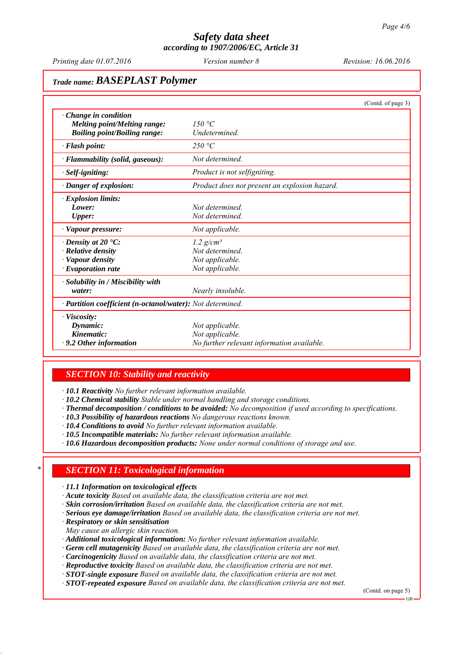*Printing date 01.07.2016 Revision: 16.06.2016 Version number 8*

# *Trade name: BASEPLAST Polymer*

|                                                                                                              |                                                                                  | (Contd. of page 3) |
|--------------------------------------------------------------------------------------------------------------|----------------------------------------------------------------------------------|--------------------|
| $\cdot$ Change in condition<br><b>Melting point/Melting range:</b><br><b>Boiling point/Boiling range:</b>    | 150 °C<br>Undetermined.                                                          |                    |
| $\cdot$ Flash point:                                                                                         | 250 °C                                                                           |                    |
| · Flammability (solid, gaseous):                                                                             | Not determined                                                                   |                    |
| $\cdot$ Self-igniting:                                                                                       | Product is not selfigniting.                                                     |                    |
| · Danger of explosion:                                                                                       | Product does not present an explosion hazard.                                    |                    |
| $\cdot$ Explosion limits:<br>Lower:<br><b>Upper:</b>                                                         | Not determined<br>Not determined.                                                |                    |
| · Vapour pressure:                                                                                           | Not applicable.                                                                  |                    |
| $\cdot$ Density at 20 $\cdot$ C:<br>$\cdot$ Relative density<br>· Vapour density<br>$\cdot$ Evaporation rate | $1.2$ g/cm <sup>3</sup><br>Not determined.<br>Not applicable.<br>Not applicable. |                    |
| $\cdot$ Solubility in / Miscibility with<br>water:                                                           | Nearly insoluble.                                                                |                    |
| · Partition coefficient (n-octanol/water): Not determined.                                                   |                                                                                  |                    |
| $\cdot$ Viscosity:<br>Dynamic:<br>Kinematic:<br>$\cdot$ 9.2 Other information                                | Not applicable.<br>Not applicable.<br>No further relevant information available. |                    |

## *SECTION 10: Stability and reactivity*

*∙ 10.1 Reactivity No further relevant information available.*

*∙ 10.2 Chemical stability Stable under normal handling and storage conditions.*

*∙ Thermal decomposition / conditions to be avoided: No decomposition if used according to specifications.*

- *∙ 10.3 Possibility of hazardous reactions No dangerous reactions known.*
- *∙ 10.4 Conditions to avoid No further relevant information available.*
- *∙ 10.5 Incompatible materials: No further relevant information available.*
- *∙ 10.6 Hazardous decomposition products: None under normal conditions of storage and use.*

## *\* SECTION 11: Toxicological information*

*∙ 11.1 Information on toxicological effects*

- *∙ Acute toxicity Based on available data, the classification criteria are not met.*
- *∙ Skin corrosion/irritation Based on available data, the classification criteria are not met.*
- *∙ Serious eye damage/irritation Based on available data, the classification criteria are not met.*
- *∙ Respiratory or skin sensitisation*

*May cause an allergic skin reaction.*

- *∙ Additional toxicological information: No further relevant information available.*
- *∙ Germ cell mutagenicity Based on available data, the classification criteria are not met.*
- *∙ Carcinogenicity Based on available data, the classification criteria are not met.*
- *∙ Reproductive toxicity Based on available data, the classification criteria are not met.*

*∙ STOT-single exposure Based on available data, the classification criteria are not met.*

*∙ STOT-repeated exposure Based on available data, the classification criteria are not met.*

(Contd. on page 5)

GB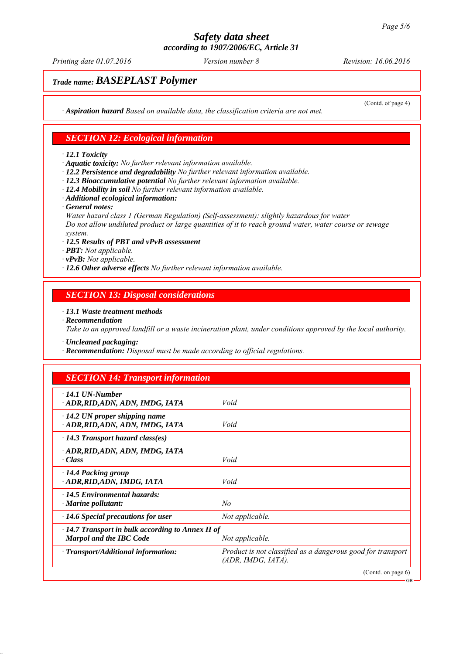*Printing date 01.07.2016 Revision: 16.06.2016 Version number 8*

(Contd. of page 4)

GB

## *Trade name: BASEPLAST Polymer*

*∙ Aspiration hazard Based on available data, the classification criteria are not met.*

## *SECTION 12: Ecological information*

#### *∙ 12.1 Toxicity*

*∙ Aquatic toxicity: No further relevant information available.*

- *∙ 12.2 Persistence and degradability No further relevant information available.*
- *∙ 12.3 Bioaccumulative potential No further relevant information available.*
- *∙ 12.4 Mobility in soil No further relevant information available.*
- *∙ Additional ecological information:*
- *∙ General notes:*

*Water hazard class 1 (German Regulation) (Self-assessment): slightly hazardous for water Do not allow undiluted product or large quantities of it to reach ground water, water course or sewage system.*

- *∙ 12.5 Results of PBT and vPvB assessment*
- *∙ PBT: Not applicable.*
- *∙ vPvB: Not applicable.*
- *∙ 12.6 Other adverse effects No further relevant information available.*

#### *SECTION 13: Disposal considerations*

*∙ 13.1 Waste treatment methods*

*∙ Recommendation*

*Take to an approved landfill or a waste incineration plant, under conditions approved by the local authority.*

- *∙ Uncleaned packaging:*
- *∙ Recommendation: Disposal must be made according to official regulations.*

## *SECTION 14: Transport information*

| $\cdot$ 14.1 UN-Number<br>ADR, RID, ADN, ADN, IMDG, IATA                                                     | Void                                                                                 |
|--------------------------------------------------------------------------------------------------------------|--------------------------------------------------------------------------------------|
| $\cdot$ 14.2 UN proper shipping name<br>ADR, RID, ADN, ADN, IMDG, IATA                                       | Void                                                                                 |
| $\cdot$ 14.3 Transport hazard class(es)                                                                      |                                                                                      |
| · ADR, RID, ADN, ADN, IMDG, IATA<br>$\cdot Class$                                                            | Void                                                                                 |
| · 14.4 Packing group<br>· ADR, RID, ADN, IMDG, IATA                                                          | Void                                                                                 |
| $\cdot$ 14.5 Environmental hazards:<br>$\cdot$ Marine pollutant:                                             | No                                                                                   |
| $\cdot$ 14.6 Special precautions for user                                                                    | Not applicable.                                                                      |
| $\cdot$ 14.7 Transport in bulk according to Annex II of<br><b>Marpol and the IBC Code</b><br>Not applicable. |                                                                                      |
| $\cdot$ Transport/Additional information:                                                                    | Product is not classified as a dangerous good for transport<br>$(ADR, IMDG, IATA)$ . |
|                                                                                                              | (Cond. on page 6)                                                                    |